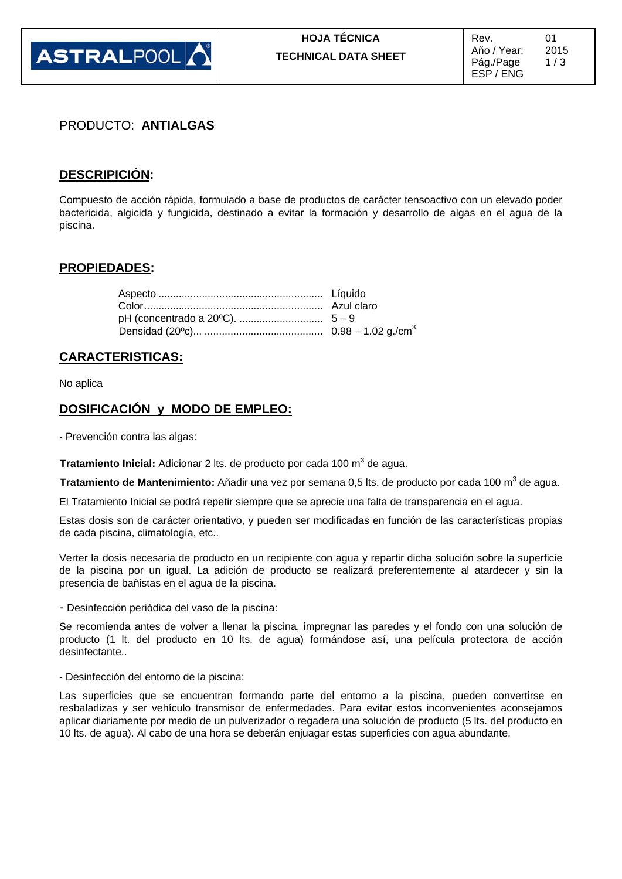

### PRODUCTO: **ANTIALGAS**

### **DESCRIPICIÓN:**

Compuesto de acción rápida, formulado a base de productos de carácter tensoactivo con un elevado poder bactericida, algicida y fungicida, destinado a evitar la formación y desarrollo de algas en el agua de la piscina.

#### **PROPIEDADES:**

### **CARACTERISTICAS:**

No aplica

### **DOSIFICACIÓN y MODO DE EMPLEO:**

- Prevención contra las algas:

**Tratamiento Inicial:** Adicionar 2 lts. de producto por cada 100 m<sup>3</sup> de agua.

**Tratamiento de Mantenimiento:** Añadir una vez por semana 0,5 lts. de producto por cada 100 m<sup>3</sup> de agua.

El Tratamiento Inicial se podrá repetir siempre que se aprecie una falta de transparencia en el agua.

Estas dosis son de carácter orientativo, y pueden ser modificadas en función de las características propias de cada piscina, climatología, etc..

Verter la dosis necesaria de producto en un recipiente con agua y repartir dicha solución sobre la superficie de la piscina por un igual. La adición de producto se realizará preferentemente al atardecer y sin la presencia de bañistas en el agua de la piscina.

- Desinfección periódica del vaso de la piscina:

Se recomienda antes de volver a llenar la piscina, impregnar las paredes y el fondo con una solución de producto (1 lt. del producto en 10 lts. de agua) formándose así, una película protectora de acción desinfectante..

- Desinfección del entorno de la piscina:

Las superficies que se encuentran formando parte del entorno a la piscina, pueden convertirse en resbaladizas y ser vehículo transmisor de enfermedades. Para evitar estos inconvenientes aconsejamos aplicar diariamente por medio de un pulverizador o regadera una solución de producto (5 lts. del producto en 10 lts. de agua). Al cabo de una hora se deberán enjuagar estas superficies con agua abundante.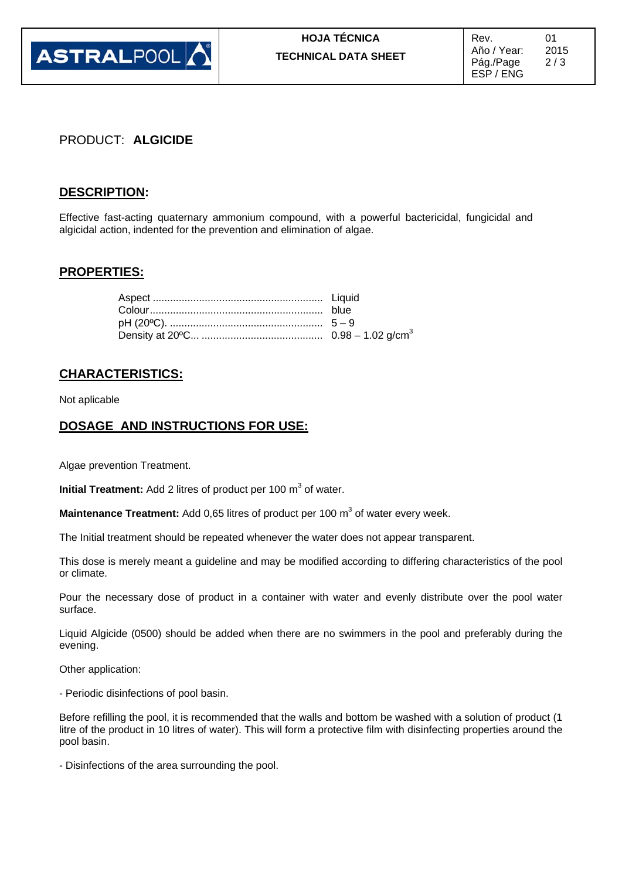

## PRODUCT: **ALGICIDE**

### **DESCRIPTION:**

Effective fast-acting quaternary ammonium compound, with a powerful bactericidal, fungicidal and algicidal action, indented for the prevention and elimination of algae.

### **PROPERTIES:**

### **CHARACTERISTICS:**

Not aplicable

### **DOSAGE AND INSTRUCTIONS FOR USE:**

Algae prevention Treatment.

**Initial Treatment:** Add 2 litres of product per 100 m<sup>3</sup> of water.

**Maintenance Treatment:** Add 0,65 litres of product per 100 m<sup>3</sup> of water every week.

The Initial treatment should be repeated whenever the water does not appear transparent.

This dose is merely meant a guideline and may be modified according to differing characteristics of the pool or climate.

Pour the necessary dose of product in a container with water and evenly distribute over the pool water surface.

Liquid Algicide (0500) should be added when there are no swimmers in the pool and preferably during the evening.

Other application:

- Periodic disinfections of pool basin.

Before refilling the pool, it is recommended that the walls and bottom be washed with a solution of product (1 litre of the product in 10 litres of water). This will form a protective film with disinfecting properties around the pool basin.

- Disinfections of the area surrounding the pool.